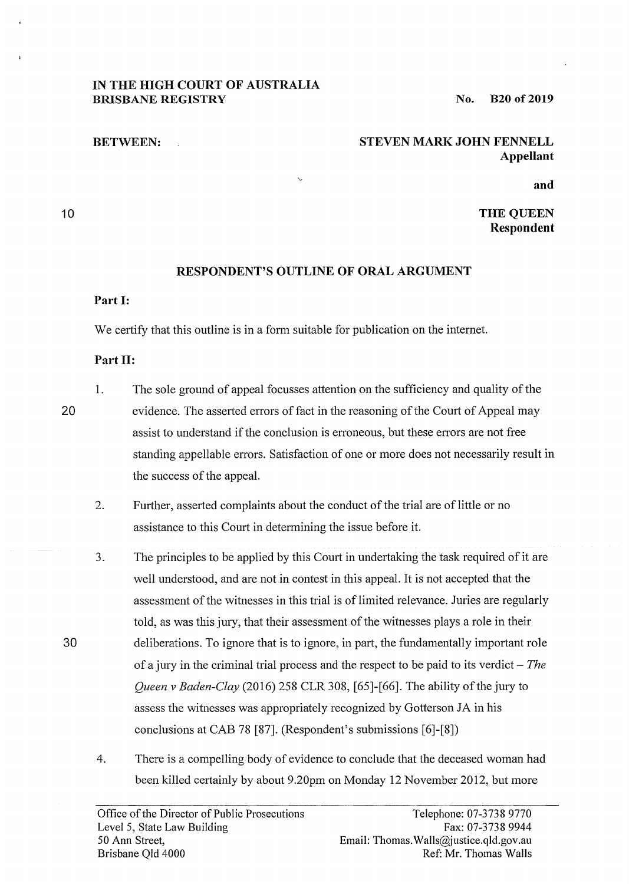# **IN THE HIGH COURT OF AUSTRALIA BRISBANE REGISTRY**

**No. B20 of2019** 

## **BETWEEN:**

### **STEVEN MARK JOHN FENNELL Appellant**

**and** 

#### 10

# **THE QUEEN Respondent**

# **RESPONDENT'S OUTLINE OF ORAL ARGUMENT**

#### **Part** I:

We certify that this outline is in a form suitable for publication on the internet.

 $\ddot{\phantom{0}}$ 

## **Part** II:

20

30

1. The sole ground of appeal focusses attention on the sufficiency and quality of the evidence. The asserted errors of fact in the reasoning of the Court of Appeal may assist to understand if the conclusion is erroneous, but these errors are not free standing appellable errors. Satisfaction of one or more does not necessarily result in the success of the appeal.

- 2. Further, asserted complaints about the conduct of the trial are of little or no assistance to this Court in determining the issue before it.
- 3. The principles to be applied by this Court in undertaking the task required of it are well understood, and are not in contest in this appeal. It is not accepted that the assessment of the witnesses in this trial is of limited relevance. Juries are regularly told, as was this jury, that their assessment of the witnesses plays a role in their deliberations. To ignore that is to ignore, in part, the fundamentally important role of a jury in the criminal trial process and the respect to be paid to its verdict - *The Queen v Baden-Clay* (2016) 258 CLR 308, [65]-[66]. The ability of the jury to assess the witnesses was appropriately recognized by Gotterson JA in his conclusions at CAB 78 [87]. (Respondent's submissions [6]-[8])
- 4. There is a compelling body of evidence to conclude that the deceased woman had been killed certainly by about 9.20pm on Monday 12 November 2012, but more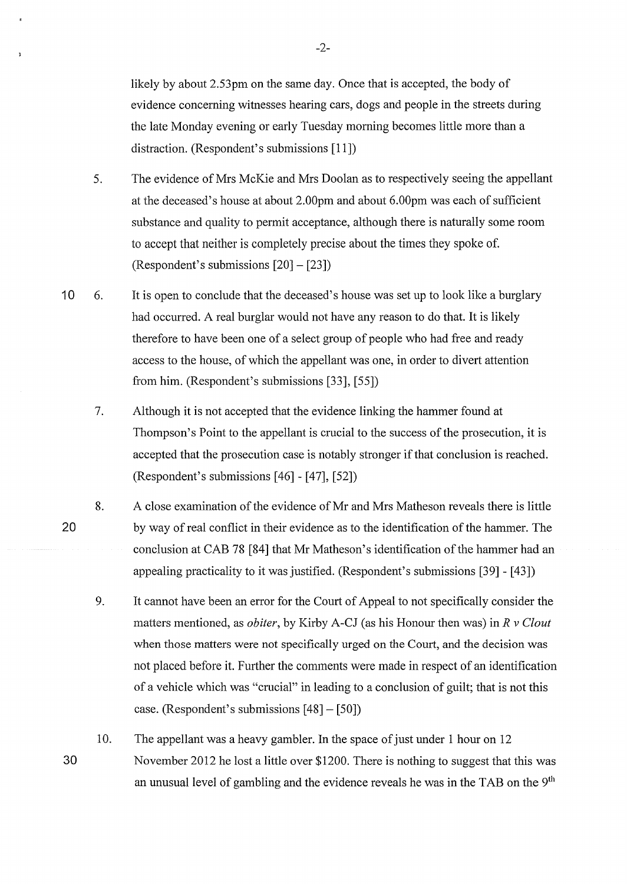likely by about 2.53pm on the same day. Once that is accepted, the body of evidence concerning witnesses hearing cars, dogs and people in the streets during the late Monday evening or early Tuesday morning becomes little more than a distraction. (Respondent's submissions [11])

- 5. The evidence of Mrs McKie and Mrs Doolan as to respectively seeing the appellant at the deceased's house at about 2.00pm and about 6.00pm was each of sufficient substance and quality to permit acceptance, although there is naturally some room to accept that neither is completely precise about the times they spoke of. (Respondent's submissions [20] - [23])
- 10 6. It is open to conclude that the deceased's house was set up to look like a burglary had occurred. A real burglar would not have any reason to do that. It is likely therefore to have been one of a select group of people who had free and ready access to the house, of which the appellant was one, in order to divert attention from him. (Respondent's submissions [33], [55])
	- 7. Although it is not accepted that the evidence linking the hammer found at Thompson's Point to the appellant is crucial to the success of the prosecution, it is accepted that the prosecution case is notably stronger if that conclusion is reached. (Respondent's submissions [46] - [47], [52])
	- 8. A close examination of the evidence of Mr and Mrs Matheson reveals there is little by way of real conflict in their evidence as to the identification of the hammer. The conclusion at CAB 78 [84] that Mr Matheson's identification of the hammer had an appealing practicality to it was justified. (Respondent's submissions [39] - [43])

20

- 9. It cannot have been an error for the Court of Appeal to not specifically consider the matters mentioned, as *obiter,* by Kirby A-CJ (as his Honour then was) in *R v Clout*  when those matters were not specifically urged on the Court, and the decision was not placed before it. Further the comments were made in respect of an identification of a vehicle which was "crucial" in leading to a conclusion of guilt; that is not this case. (Respondent's submissions [48]- [50])
- 30 10. The appellant was a heavy gambler. In the space of just under 1 hour on 12 November 2012 he lost a little over \$1200. There is nothing to suggest that this was an unusual level of gambling and the evidence reveals he was in the TAB on the 9<sup>th</sup>

-2-